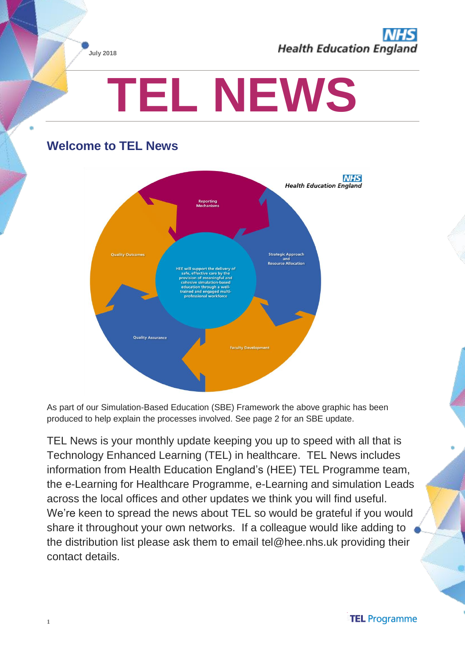

# **TEL NEWS**

# **Welcome to TEL News**



As part of our Simulation-Based Education (SBE) Framework the above graphic has been produced to help explain the processes involved. See page 2 for an SBE update.

TEL News is your monthly update keeping you up to speed with all that is Technology Enhanced Learning (TEL) in healthcare. TEL News includes information from Health Education England's (HEE) TEL Programme team, the e-Learning for Healthcare Programme, e-Learning and simulation Leads across the local offices and other updates we think you will find useful. We're keen to spread the news about TEL so would be grateful if you would share it throughout your own networks. If a colleague would like adding to the distribution list please ask them to email tel@hee.nhs.uk providing their contact details.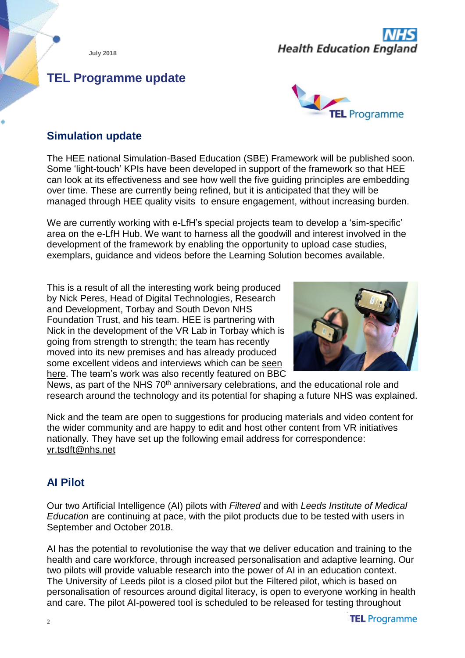# **Health Education England**

# **TEL Programme update**



# **Simulation update**

The HEE national Simulation-Based Education (SBE) Framework will be published soon. Some 'light-touch' KPIs have been developed in support of the framework so that HEE can look at its effectiveness and see how well the five guiding principles are embedding over time. These are currently being refined, but it is anticipated that they will be managed through HEE quality visits to ensure engagement, without increasing burden.

We are currently working with e-LfH's special projects team to develop a 'sim-specific' area on the e-LfH Hub. We want to harness all the goodwill and interest involved in the development of the framework by enabling the opportunity to upload case studies, exemplars, guidance and videos before the Learning Solution becomes available.

This is a result of all the interesting work being produced by Nick Peres, Head of Digital Technologies, Research and Development, Torbay and South Devon NHS Foundation Trust, and his team. HEE is partnering with Nick in the development of the VR Lab in Torbay which is going from strength to strength; the team has recently moved into its new premises and has already produced some excellent videos and interviews which can be [seen](https://www.youtube.com/watch?v=J8lSXXrj2JY) [here.](https://www.youtube.com/watch?v=J8lSXXrj2JY) The team's work was also recently featured on BBC



News, as part of the NHS 70<sup>th</sup> anniversary celebrations, and the educational role and research around the technology and its potential for shaping a future NHS was explained.

Nick and the team are open to suggestions for producing materials and video content for the wider community and are happy to edit and host other content from VR initiatives nationally. They have set up the following email address for correspondence: [vr.tsdft@nhs.net](mailto:vr.tsdft@nhs.net)

# **AI Pilot**

Our two Artificial Intelligence (AI) pilots with *Filtered* and with *Leeds Institute of Medical Education* are continuing at pace, with the pilot products due to be tested with users in September and October 2018.

AI has the potential to revolutionise the way that we deliver education and training to the health and care workforce, through increased personalisation and adaptive learning. Our two pilots will provide valuable research into the power of AI in an education context. The University of Leeds pilot is a closed pilot but the Filtered pilot, which is based on personalisation of resources around digital literacy, is open to everyone working in health and care. The pilot AI-powered tool is scheduled to be released for testing throughout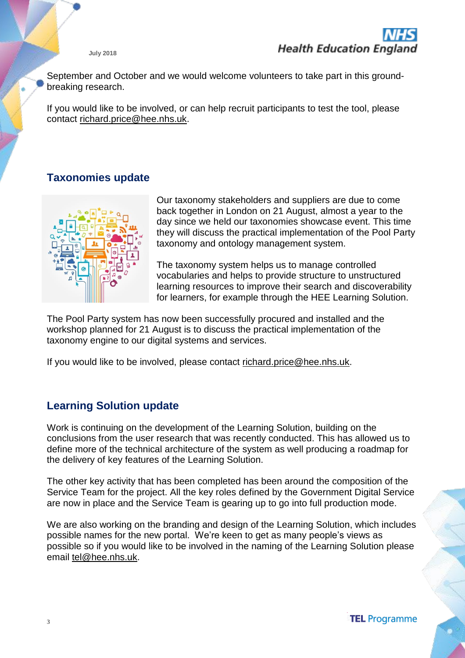September and October and we would welcome volunteers to take part in this groundbreaking research.

If you would like to be involved, or can help recruit participants to test the tool, please contact [richard.price@hee.nhs.uk.](mailto:richard.price@hee.nhs.uk)

# **Taxonomies update**



Our taxonomy stakeholders and suppliers are due to come back together in London on 21 August, almost a year to the day since we held our taxonomies showcase event. This time they will discuss the practical implementation of the Pool Party taxonomy and ontology management system.

The taxonomy system helps us to manage controlled vocabularies and helps to provide structure to unstructured learning resources to improve their search and discoverability for learners, for example through the HEE Learning Solution.

The Pool Party system has now been successfully procured and installed and the workshop planned for 21 August is to discuss the practical implementation of the taxonomy engine to our digital systems and services.

If you would like to be involved, please contact [richard.price@hee.nhs.uk.](mailto:richard.price@hee.nhs.uk)

# **Learning Solution update**

Work is continuing on the development of the Learning Solution, building on the conclusions from the user research that was recently conducted. This has allowed us to define more of the technical architecture of the system as well producing a roadmap for the delivery of key features of the Learning Solution.

The other key activity that has been completed has been around the composition of the Service Team for the project. All the key roles defined by the Government Digital Service are now in place and the Service Team is gearing up to go into full production mode.

We are also working on the branding and design of the Learning Solution, which includes possible names for the new portal. We're keen to get as many people's views as possible so if you would like to be involved in the naming of the Learning Solution please email [tel@hee.nhs.uk.](mailto:tel@hee.nhs.uk)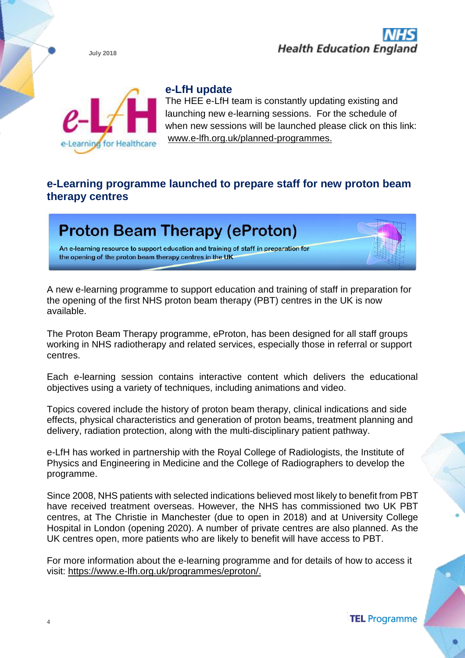



#### **e-LfH update**

The HEE e-LfH team is constantly updating existing and launching new e-learning sessions. For the schedule of when new sessions will be launched please click on this link: [www.e-lfh.org.uk/planned-programmes.](http://www.e-lfh.org.uk/planned-programmes)

### **e-Learning programme launched to prepare staff for new proton beam therapy centres**



A new e-learning programme to support education and training of staff in preparation for the opening of the first NHS proton beam therapy (PBT) centres in the UK is now available.

The Proton Beam Therapy programme, eProton, has been designed for all staff groups working in NHS radiotherapy and related services, especially those in referral or support centres.

Each e-learning session contains interactive content which delivers the educational objectives using a variety of techniques, including animations and video.

Topics covered include the history of proton beam therapy, clinical indications and side effects, physical characteristics and generation of proton beams, treatment planning and delivery, radiation protection, along with the multi-disciplinary patient pathway.

e-LfH has worked in partnership with the Royal College of Radiologists, the Institute of Physics and Engineering in Medicine and the College of Radiographers to develop the programme.

Since 2008, NHS patients with selected indications believed most likely to benefit from PBT have received treatment overseas. However, the NHS has commissioned two UK PBT centres, at The Christie in Manchester (due to open in 2018) and at University College Hospital in London (opening 2020). A number of private centres are also planned. As the UK centres open, more patients who are likely to benefit will have access to PBT.

For more information about the e-learning programme and for details of how to access it visit: [https://www.e-lfh.org.uk/programmes/eproton/.](https://www.e-lfh.org.uk/programmes/eproton/)

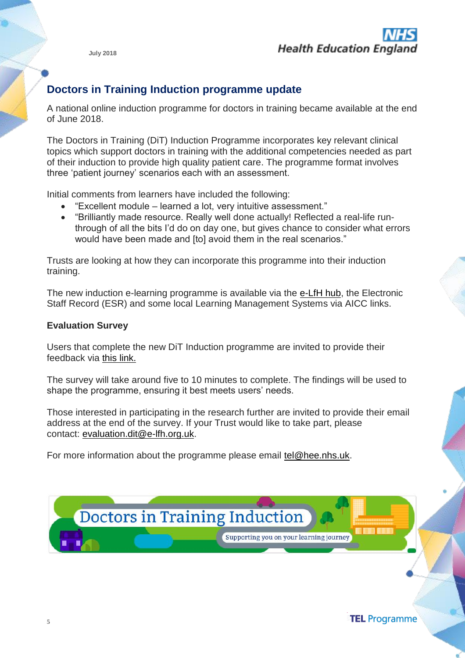

# **Doctors in Training Induction programme update**

A national online induction programme for doctors in training became available at the end of June 2018.

The Doctors in Training (DiT) Induction Programme incorporates key relevant clinical topics which support doctors in training with the additional competencies needed as part of their induction to provide high quality patient care. The programme format involves three 'patient journey' scenarios each with an assessment.

Initial comments from learners have included the following:

- "Excellent module learned a lot, very intuitive assessment."
- "Brilliantly made resource. Really well done actually! Reflected a real-life runthrough of all the bits I'd do on day one, but gives chance to consider what errors would have been made and [to] avoid them in the real scenarios."

Trusts are looking at how they can incorporate this programme into their induction training.

The new induction e-learning programme is available via the [e-LfH hub,](https://www.e-lfh.org.uk/programmes/doctors-in-training-induction/) the Electronic Staff Record (ESR) and some local Learning Management Systems via AICC links.

#### **Evaluation Survey**

Users that complete the new DiT Induction programme are invited to provide their feedback via [this link.](https://healtheducationyh.onlinesurveys.ac.uk/doctors-in-training-induction-survey-july-2018)

The survey will take around five to 10 minutes to complete. The findings will be used to shape the programme, ensuring it best meets users' needs.

Those interested in participating in the research further are invited to provide their email address at the end of the survey. If your Trust would like to take part, please contact: [evaluation.dit@e-lfh.org.uk.](mailto:evaluation.dit@e-lfh.org.uk)

For more information about the programme please email [tel@hee.nhs.uk.](mailto:tel@hee.nhs.uk)



**TEL** Programme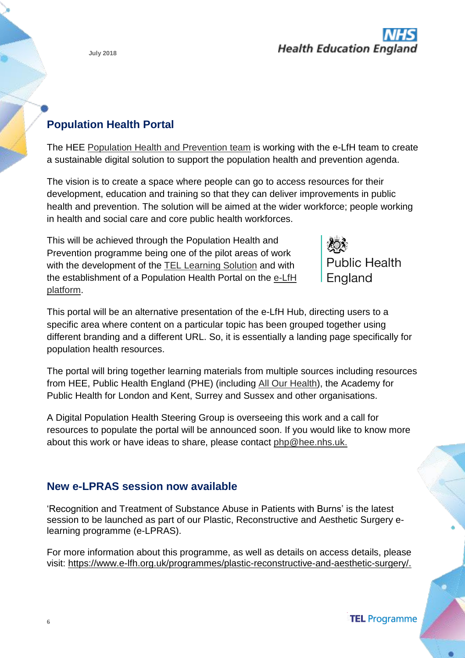

# **Population Health Portal**

The HEE Population Health and [Prevention](https://hee.nhs.uk/our-work/population-health) team is working with the e-LfH team to create a sustainable digital solution to support the population health and prevention agenda.

The vision is to create a space where people can go to access resources for their development, education and training so that they can deliver improvements in public health and prevention. The solution will be aimed at the wider workforce; people working in health and social care and core public health workforces.

This will be achieved through the Population Health and Prevention programme being one of the pilot areas of work with the development of the **TEL [Learning](https://hee.nhs.uk/our-work/technology-enhanced-learning/learning-solution) Solution** and with the establishment of a Population Health Portal on the [e-LfH](https://hee.nhs.uk/our-work/technology-enhanced-learning/e-learning-healthcare) [platform.](https://hee.nhs.uk/our-work/technology-enhanced-learning/e-learning-healthcare)



This portal will be an alternative presentation of the e-LfH Hub, directing users to a specific area where content on a particular topic has been grouped together using different branding and a different URL. So, it is essentially a landing page specifically for population health resources.

The portal will bring together learning materials from multiple sources including resources from HEE, Public Health England (PHE) (including All Our [Health\)](https://www.gov.uk/government/collections/all-our-health-personalised-care-and-population-health), the Academy for Public Health for London and Kent, Surrey and Sussex and other organisations.

A Digital Population Health Steering Group is overseeing this work and a call for resources to populate the portal will be announced soon. If you would like to know more about this work or have ideas to share, please contact [php@hee.nhs.uk.](mailto:php@hee.nhs.uk)

# **New e-LPRAS session now available**

'Recognition and Treatment of Substance Abuse in Patients with Burns' is the latest session to be launched as part of our Plastic, Reconstructive and Aesthetic Surgery elearning programme (e-LPRAS).

For more information about this programme, as well as details on access details, please visit: [https://www.e-lfh.org.uk/programmes/plastic-reconstructive-and-aesthetic-surgery/.](https://www.e-lfh.org.uk/programmes/plastic-reconstructive-and-aesthetic-surgery/)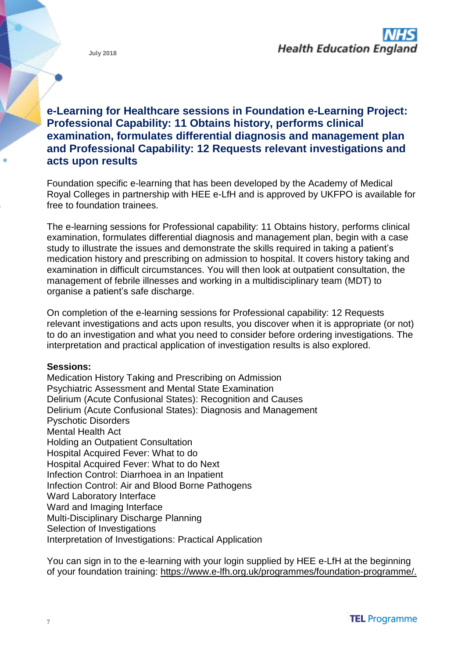# **e-Learning for Healthcare sessions in Foundation e-Learning Project: Professional Capability: 11 Obtains history, performs clinical examination, formulates differential diagnosis and management plan and Professional Capability: 12 Requests relevant investigations and acts upon results**

Foundation specific e-learning that has been developed by the Academy of Medical Royal Colleges in partnership with HEE e-LfH and is approved by UKFPO is available for free to foundation trainees.

The e-learning sessions for Professional capability: 11 Obtains history, performs clinical examination, formulates differential diagnosis and management plan, begin with a case study to illustrate the issues and demonstrate the skills required in taking a patient's medication history and prescribing on admission to hospital. It covers history taking and examination in difficult circumstances. You will then look at outpatient consultation, the management of febrile illnesses and working in a multidisciplinary team (MDT) to organise a patient's safe discharge.

On completion of the e-learning sessions for Professional capability: 12 Requests relevant investigations and acts upon results, you discover when it is appropriate (or not) to do an investigation and what you need to consider before ordering investigations. The interpretation and practical application of investigation results is also explored.

#### **Sessions:**

Medication History Taking and Prescribing on Admission Psychiatric Assessment and Mental State Examination Delirium (Acute Confusional States): Recognition and Causes Delirium (Acute Confusional States): Diagnosis and Management Pyschotic Disorders Mental Health Act Holding an Outpatient Consultation Hospital Acquired Fever: What to do Hospital Acquired Fever: What to do Next Infection Control: Diarrhoea in an Inpatient Infection Control: Air and Blood Borne Pathogens Ward Laboratory Interface Ward and Imaging Interface Multi-Disciplinary Discharge Planning Selection of Investigations Interpretation of Investigations: Practical Application

You can sign in to the e-learning with your login supplied by HEE e-LfH at the beginning of your foundation training: [https://www.e-lfh.org.uk/programmes/foundation-programme/.](https://www.e-lfh.org.uk/programmes/foundation-programme/)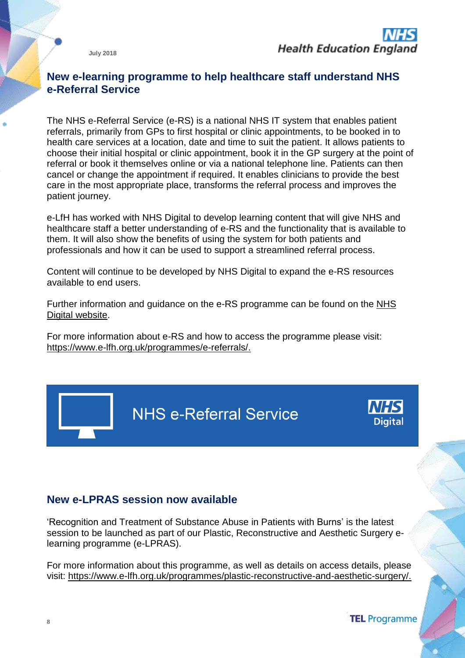#### **New e-learning programme to help healthcare staff understand NHS e-Referral Service**

The NHS e-Referral Service (e-RS) is a national NHS IT system that enables patient referrals, primarily from GPs to first hospital or clinic appointments, to be booked in to health care services at a location, date and time to suit the patient. It allows patients to choose their initial hospital or clinic appointment, book it in the GP surgery at the point of referral or book it themselves online or via a national telephone line. Patients can then cancel or change the appointment if required. It enables clinicians to provide the best care in the most appropriate place, transforms the referral process and improves the patient journey.

e-LfH has worked with NHS Digital to develop learning content that will give NHS and healthcare staff a better understanding of e-RS and the functionality that is available to them. It will also show the benefits of using the system for both patients and professionals and how it can be used to support a streamlined referral process.

Content will continue to be developed by NHS Digital to expand the e-RS resources available to end users.

Further information and guidance on the e-RS programme can be found on the [NHS](https://digital.nhs.uk/e-Referral-Service) Digital [website.](https://digital.nhs.uk/e-Referral-Service)

For more information about e-RS and how to access the programme please visit: [https://www.e-lfh.org.uk/programmes/e-referrals/.](https://www.e-lfh.org.uk/programmes/e-referrals/)

**NHS e-Referral Service** 



#### **New e-LPRAS session now available**

'Recognition and Treatment of Substance Abuse in Patients with Burns' is the latest session to be launched as part of our Plastic, Reconstructive and Aesthetic Surgery elearning programme (e-LPRAS).

For more information about this programme, as well as details on access details, please visit: [https://www.e-lfh.org.uk/programmes/plastic-reconstructive-and-aesthetic-surgery/.](https://www.e-lfh.org.uk/programmes/plastic-reconstructive-and-aesthetic-surgery/)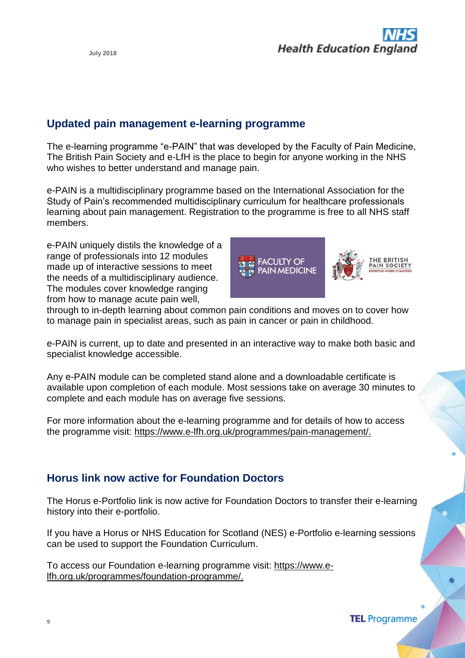#### **Updated pain management e-learning programme**

The e-learning programme "e-PAIN" that was developed by the Faculty of Pain Medicine, The British Pain Society and e-LfH is the place to begin for anyone working in the NHS who wishes to better understand and manage pain.

e-PAIN is a multidisciplinary programme based on the International Association for the Study of Pain's recommended multidisciplinary curriculum for healthcare professionals learning about pain management. Registration to the programme is free to all NHS staff members.

e-PAIN uniquely distils the knowledge of a range of professionals into 12 modules made up of interactive sessions to meet the needs of a multidisciplinary audience. The modules cover knowledge ranging from how to manage acute pain well,



through to in-depth learning about common pain conditions and moves on to cover how to manage pain in specialist areas, such as pain in cancer or pain in childhood.

e-PAIN is current, up to date and presented in an interactive way to make both basic and specialist knowledge accessible.

Any e-PAIN module can be completed stand alone and a downloadable certificate is available upon completion of each module. Most sessions take on average 30 minutes to complete and each module has on average five sessions.

For more information about the e-learning programme and for details of how to access the programme visit: [https://www.e-lfh.org.uk/programmes/pain-management/.](https://www.e-lfh.org.uk/programmes/pain-management/)

#### **Horus link now active for Foundation Doctors**

The Horus e-Portfolio link is now active for Foundation Doctors to transfer their e-learning history into their e-portfolio.

If you have a Horus or NHS Education for Scotland (NES) e-Portfolio e-learning sessions can be used to support the Foundation Curriculum.

To access our Foundation e-learning programme visit: [https://www.e](https://www.e-lfh.org.uk/programmes/foundation-programme/)[lfh.org.uk/programmes/foundation-programme/.](https://www.e-lfh.org.uk/programmes/foundation-programme/)

**TEL Programme**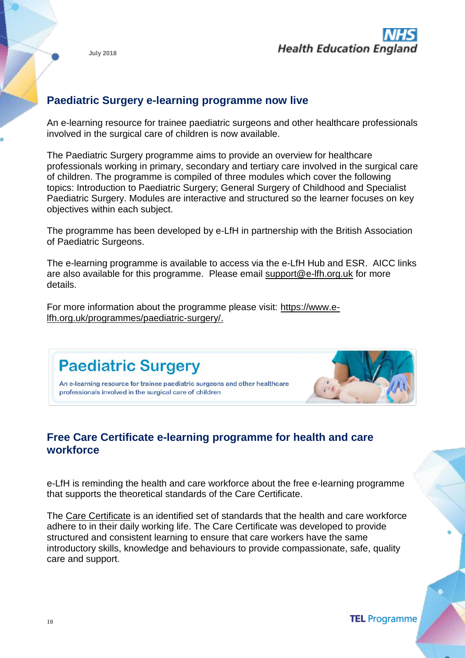



### **Paediatric Surgery e-learning programme now live**

An e-learning resource for trainee paediatric surgeons and other healthcare professionals involved in the surgical care of children is now available.

The Paediatric Surgery programme aims to provide an overview for healthcare professionals working in primary, secondary and tertiary care involved in the surgical care of children. The programme is compiled of three modules which cover the following topics: Introduction to Paediatric Surgery; General Surgery of Childhood and Specialist Paediatric Surgery. Modules are interactive and structured so the learner focuses on key objectives within each subject.

The programme has been developed by e-LfH in partnership with the British Association of Paediatric Surgeons.

The e-learning programme is available to access via the e-LfH Hub and ESR. AICC links are also available for this programme. Please email [support@e-lfh.org.uk](mailto:support@e-lfh.org.uk) for more details.

For more information about the programme please visit: [https://www.e](https://www.e-lfh.org.uk/programmes/paediatric-surgery/)[lfh.org.uk/programmes/paediatric-surgery/.](https://www.e-lfh.org.uk/programmes/paediatric-surgery/)



# **Free Care Certificate e-learning programme for health and care workforce**

e-LfH is reminding the health and care workforce about the free e-learning programme that supports the theoretical standards of the Care Certificate.

The [Care Certificate](https://hee.nhs.uk/our-work/care-certificate) is an identified set of standards that the health and care workforce adhere to in their daily working life. The Care Certificate was developed to provide structured and consistent learning to ensure that care workers have the same introductory skills, knowledge and behaviours to provide compassionate, safe, quality care and support.

**TEL** Programme